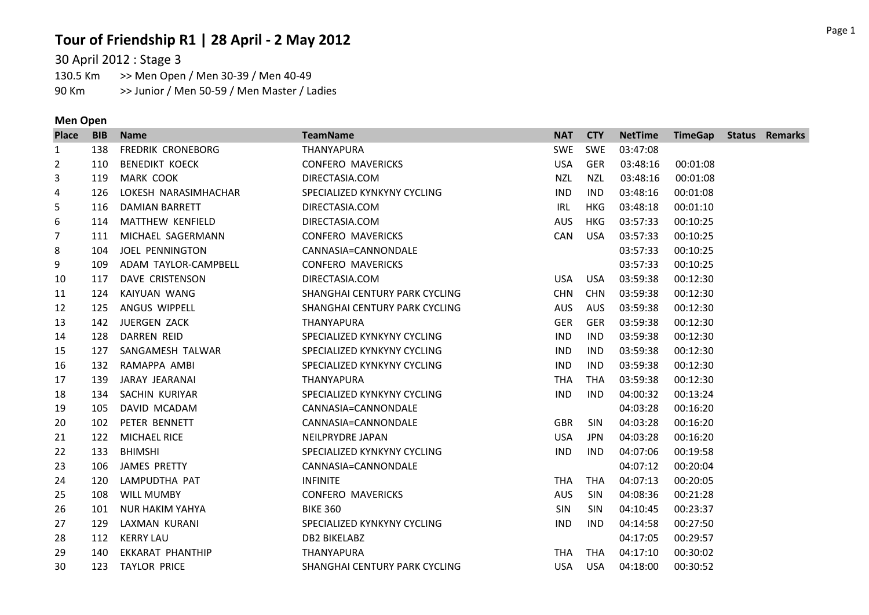# **Tour of Friendship R1 | 28 April - 2 May 2012**

30 April 2012 : Stage 3

>> Men Open / Men 30-39 / Men 40-49 90 Km >> Junior / Men 50-59 / Men Master / Ladies

### **Men Open**

| <b>Place</b> | <b>BIB</b> | <b>Name</b>             | <b>TeamName</b>               | <b>NAT</b> | <b>CTY</b> | <b>NetTime</b> | <b>TimeGap Status Remarks</b> |  |
|--------------|------------|-------------------------|-------------------------------|------------|------------|----------------|-------------------------------|--|
| 1            | 138        | FREDRIK CRONEBORG       | THANYAPURA                    | SWE        | <b>SWE</b> | 03:47:08       |                               |  |
| 2            | 110        | <b>BENEDIKT KOECK</b>   | <b>CONFERO MAVERICKS</b>      | <b>USA</b> | <b>GER</b> | 03:48:16       | 00:01:08                      |  |
| 3            | 119        | MARK COOK               | DIRECTASIA.COM                | <b>NZL</b> | <b>NZL</b> | 03:48:16       | 00:01:08                      |  |
| 4            | 126        | LOKESH NARASIMHACHAR    | SPECIALIZED KYNKYNY CYCLING   | <b>IND</b> | <b>IND</b> | 03:48:16       | 00:01:08                      |  |
| 5            | 116        | DAMIAN BARRETT          | DIRECTASIA.COM                | IRL        | <b>HKG</b> | 03:48:18       | 00:01:10                      |  |
| 6            | 114        | <b>MATTHEW KENFIELD</b> | DIRECTASIA.COM                | <b>AUS</b> | <b>HKG</b> | 03:57:33       | 00:10:25                      |  |
| 7            | 111        | MICHAEL SAGERMANN       | <b>CONFERO MAVERICKS</b>      | CAN        | USA        | 03:57:33       | 00:10:25                      |  |
| 8            | 104        | <b>JOEL PENNINGTON</b>  | CANNASIA=CANNONDALE           |            |            | 03:57:33       | 00:10:25                      |  |
| 9            | 109        | ADAM TAYLOR-CAMPBELL    | <b>CONFERO MAVERICKS</b>      |            |            | 03:57:33       | 00:10:25                      |  |
| 10           | 117        | DAVE CRISTENSON         | DIRECTASIA.COM                | USA        | <b>USA</b> | 03:59:38       | 00:12:30                      |  |
| 11           | 124        | KAIYUAN WANG            | SHANGHAI CENTURY PARK CYCLING | <b>CHN</b> | <b>CHN</b> | 03:59:38       | 00:12:30                      |  |
| 12           | 125        | ANGUS WIPPELL           | SHANGHAI CENTURY PARK CYCLING | <b>AUS</b> | AUS        | 03:59:38       | 00:12:30                      |  |
| 13           | 142        | JUERGEN ZACK            | <b>THANYAPURA</b>             | <b>GER</b> | <b>GER</b> | 03:59:38       | 00:12:30                      |  |
| 14           | 128        | DARREN REID             | SPECIALIZED KYNKYNY CYCLING   | <b>IND</b> | <b>IND</b> | 03:59:38       | 00:12:30                      |  |
| 15           | 127        | SANGAMESH TALWAR        | SPECIALIZED KYNKYNY CYCLING   | <b>IND</b> | <b>IND</b> | 03:59:38       | 00:12:30                      |  |
| 16           | 132        | RAMAPPA AMBI            | SPECIALIZED KYNKYNY CYCLING   | <b>IND</b> | <b>IND</b> | 03:59:38       | 00:12:30                      |  |
| 17           | 139        | JARAY JEARANAI          | THANYAPURA                    | <b>THA</b> | <b>THA</b> | 03:59:38       | 00:12:30                      |  |
| 18           | 134        | SACHIN KURIYAR          | SPECIALIZED KYNKYNY CYCLING   | <b>IND</b> | <b>IND</b> | 04:00:32       | 00:13:24                      |  |
| 19           | 105        | DAVID MCADAM            | CANNASIA=CANNONDALE           |            |            | 04:03:28       | 00:16:20                      |  |
| 20           | 102        | PETER BENNETT           | CANNASIA=CANNONDALE           | <b>GBR</b> | <b>SIN</b> | 04:03:28       | 00:16:20                      |  |
| 21           | 122        | <b>MICHAEL RICE</b>     | NEILPRYDRE JAPAN              | <b>USA</b> | <b>JPN</b> | 04:03:28       | 00:16:20                      |  |
| 22           | 133        | <b>BHIMSHI</b>          | SPECIALIZED KYNKYNY CYCLING   | <b>IND</b> | <b>IND</b> | 04:07:06       | 00:19:58                      |  |
| 23           | 106        | JAMES PRETTY            | CANNASIA=CANNONDALE           |            |            | 04:07:12       | 00:20:04                      |  |
| 24           | 120        | LAMPUDTHA PAT           | <b>INFINITE</b>               | <b>THA</b> | THA        | 04:07:13       | 00:20:05                      |  |
| 25           | 108        | <b>WILL MUMBY</b>       | <b>CONFERO MAVERICKS</b>      | <b>AUS</b> | <b>SIN</b> | 04:08:36       | 00:21:28                      |  |
| 26           | 101        | NUR HAKIM YAHYA         | <b>BIKE 360</b>               | <b>SIN</b> | <b>SIN</b> | 04:10:45       | 00:23:37                      |  |
| 27           | 129        | LAXMAN KURANI           | SPECIALIZED KYNKYNY CYCLING   | <b>IND</b> | <b>IND</b> | 04:14:58       | 00:27:50                      |  |
| 28           | 112        | KERRY LAU               | <b>DB2 BIKELABZ</b>           |            |            | 04:17:05       | 00:29:57                      |  |
| 29           | 140        | EKKARAT PHANTHIP        | THANYAPURA                    | <b>THA</b> | <b>THA</b> | 04:17:10       | 00:30:02                      |  |
| 30           | 123        | TAYLOR PRICE            | SHANGHAI CENTURY PARK CYCLING | <b>USA</b> | USA        | 04:18:00       | 00:30:52                      |  |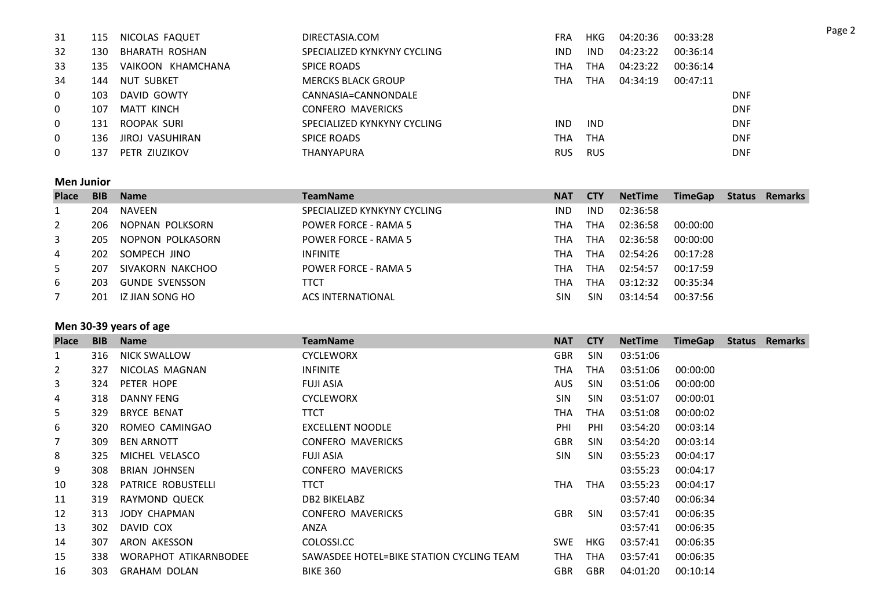| 31             | 115 | NICOLAS FAQUET         | DIRECTASIA.COM              | <b>FRA</b> | HKG        | 04:20:36 | 00:33:28 |            |
|----------------|-----|------------------------|-----------------------------|------------|------------|----------|----------|------------|
| 32             | 130 | BHARATH ROSHAN         | SPECIALIZED KYNKYNY CYCLING | <b>IND</b> | <b>IND</b> | 04:23:22 | 00:36:14 |            |
| 33             | 135 | VAIKOON KHAMCHANA      | <b>SPICE ROADS</b>          | тна        | тна        | 04:23:22 | 00:36:14 |            |
| 34             | 144 | NUT SUBKET             | <b>MERCKS BLACK GROUP</b>   | ТНА        | THA        | 04:34:19 | 00:47:11 |            |
| $\mathbf{0}$   | 103 | DAVID GOWTY            | CANNASIA=CANNONDALE         |            |            |          |          | <b>DNF</b> |
| $\mathbf{0}$   | 107 | MATT KINCH             | CONFERO MAVERICKS           |            |            |          |          | <b>DNF</b> |
| $\overline{0}$ | 131 | ROOPAK SURI            | SPECIALIZED KYNKYNY CYCLING | <b>IND</b> | <b>IND</b> |          |          | <b>DNF</b> |
| $\mathbf{0}$   | 136 | <b>JIROJ VASUHIRAN</b> | <b>SPICE ROADS</b>          | THA        | <b>THA</b> |          |          | <b>DNF</b> |
| 0              | 137 | PETR ZIUZIKOV          | <b>THANYAPURA</b>           | <b>RUS</b> | <b>RUS</b> |          |          | <b>DNF</b> |

#### **Men Junior**

| <b>Place</b>   | <b>BIB</b> | <b>Name</b>           | <b>TeamName</b>             | <b>NAT</b> | <b>CTY</b> | <b>NetTime</b> | <b>TimeGap</b> | <b>Status</b> | <b>Remarks</b> |
|----------------|------------|-----------------------|-----------------------------|------------|------------|----------------|----------------|---------------|----------------|
|                | 204        | NAVEEN                | SPECIALIZED KYNKYNY CYCLING | <b>IND</b> | <b>IND</b> | 02:36:58       |                |               |                |
| $\overline{2}$ | 206        | NOPNAN POLKSORN       | <b>POWER FORCE - RAMA 5</b> | тна        | THA        | 02:36:58       | 00:00:00       |               |                |
| 3              | 205        | NOPNON POLKASORN      | <b>POWER FORCE - RAMA 5</b> | тна        | THA        | 02:36:58       | 00:00:00       |               |                |
| 4              | 202        | SOMPECH JINO          | <b>INFINITE</b>             | тна        | THA        | 02:54:26       | 00:17:28       |               |                |
| 5              | 207        | SIVAKORN NAKCHOO      | <b>POWER FORCE - RAMA 5</b> | тна        | THA        | 02:54:57       | 00:17:59       |               |                |
| 6              | 203        | <b>GUNDE SVENSSON</b> | ттст                        | тна        | THA        | 03:12:32       | 00:35:34       |               |                |
|                | 201        | IZ JIAN SONG HO       | <b>ACS INTERNATIONAL</b>    | SIN        | <b>SIN</b> | 03:14:54       | 00:37:56       |               |                |

# **Men 30-39 years of age**

| <b>Place</b> | <b>BIB</b> | <b>Name</b>           | <b>TeamName</b>                          | <b>NAT</b> | <b>CTY</b> | <b>NetTime</b> | <b>TimeGap</b> | <b>Status</b> | <b>Remarks</b> |
|--------------|------------|-----------------------|------------------------------------------|------------|------------|----------------|----------------|---------------|----------------|
| 1            | 316        | <b>NICK SWALLOW</b>   | <b>CYCLEWORX</b>                         | <b>GBR</b> | <b>SIN</b> | 03:51:06       |                |               |                |
| 2            | 327        | NICOLAS MAGNAN        | <b>INFINITE</b>                          | THA        | <b>THA</b> | 03:51:06       | 00:00:00       |               |                |
| 3            | 324        | PETER HOPE            | <b>FUJI ASIA</b>                         | <b>AUS</b> | <b>SIN</b> | 03:51:06       | 00:00:00       |               |                |
| 4            | 318        | <b>DANNY FENG</b>     | <b>CYCLEWORX</b>                         | <b>SIN</b> | <b>SIN</b> | 03:51:07       | 00:00:01       |               |                |
| 5            | 329        | <b>BRYCE BENAT</b>    | <b>TTCT</b>                              | THA        | <b>THA</b> | 03:51:08       | 00:00:02       |               |                |
| 6            | 320        | ROMEO CAMINGAO        | <b>EXCELLENT NOODLE</b>                  | PHI        | PHI        | 03:54:20       | 00:03:14       |               |                |
| 7            | 309        | <b>BEN ARNOTT</b>     | <b>CONFERO MAVERICKS</b>                 | <b>GBR</b> | <b>SIN</b> | 03:54:20       | 00:03:14       |               |                |
| 8            | 325        | MICHEL VELASCO        | <b>FUJI ASIA</b>                         | <b>SIN</b> | <b>SIN</b> | 03:55:23       | 00:04:17       |               |                |
| 9            | 308        | <b>BRIAN JOHNSEN</b>  | <b>CONFERO MAVERICKS</b>                 |            |            | 03:55:23       | 00:04:17       |               |                |
| 10           | 328        | PATRICE ROBUSTELLI    | <b>TTCT</b>                              | THA        | <b>THA</b> | 03:55:23       | 00:04:17       |               |                |
| 11           | 319        | RAYMOND QUECK         | DB2 BIKELABZ                             |            |            | 03:57:40       | 00:06:34       |               |                |
| 12           | 313        | JODY CHAPMAN          | <b>CONFERO MAVERICKS</b>                 | <b>GBR</b> | <b>SIN</b> | 03:57:41       | 00:06:35       |               |                |
| 13           | 302        | DAVID COX             | ANZA                                     |            |            | 03:57:41       | 00:06:35       |               |                |
| 14           | 307        | ARON AKESSON          | COLOSSI.CC                               | <b>SWE</b> | <b>HKG</b> | 03:57:41       | 00:06:35       |               |                |
| 15           | 338        | WORAPHOT ATIKARNBODEE | SAWASDEE HOTEL=BIKE STATION CYCLING TEAM | THA        | <b>THA</b> | 03:57:41       | 00:06:35       |               |                |
| 16           | 303        | <b>GRAHAM DOLAN</b>   | <b>BIKE 360</b>                          | <b>GBR</b> | GBR        | 04:01:20       | 00:10:14       |               |                |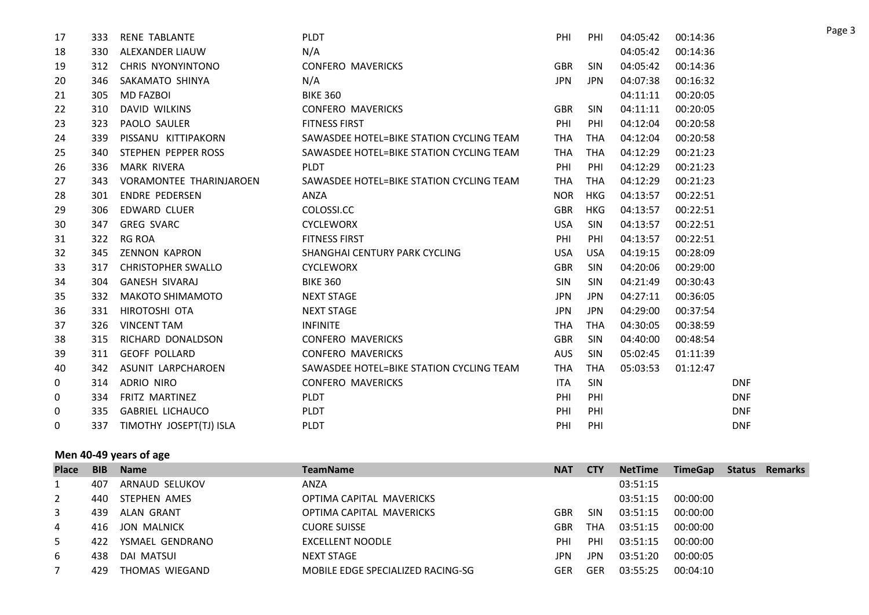| 17 | 333 | <b>RENE TABLANTE</b>           | <b>PLDT</b>                              | PHI        | PHI        | 04:05:42 | 00:14:36 |            |
|----|-----|--------------------------------|------------------------------------------|------------|------------|----------|----------|------------|
| 18 | 330 | ALEXANDER LIAUW                | N/A                                      |            |            | 04:05:42 | 00:14:36 |            |
| 19 | 312 | CHRIS NYONYINTONO              | <b>CONFERO MAVERICKS</b>                 | <b>GBR</b> | <b>SIN</b> | 04:05:42 | 00:14:36 |            |
| 20 | 346 | SAKAMATO SHINYA                | N/A                                      | <b>JPN</b> | JPN.       | 04:07:38 | 00:16:32 |            |
| 21 | 305 | <b>MD FAZBOI</b>               | <b>BIKE 360</b>                          |            |            | 04:11:11 | 00:20:05 |            |
| 22 | 310 | <b>DAVID WILKINS</b>           | <b>CONFERO MAVERICKS</b>                 | <b>GBR</b> | <b>SIN</b> | 04:11:11 | 00:20:05 |            |
| 23 | 323 | PAOLO SAULER                   | <b>FITNESS FIRST</b>                     | PHI        | PHI        | 04:12:04 | 00:20:58 |            |
| 24 | 339 | PISSANU KITTIPAKORN            | SAWASDEE HOTEL=BIKE STATION CYCLING TEAM | <b>THA</b> | <b>THA</b> | 04:12:04 | 00:20:58 |            |
| 25 | 340 | STEPHEN PEPPER ROSS            | SAWASDEE HOTEL=BIKE STATION CYCLING TEAM | <b>THA</b> | <b>THA</b> | 04:12:29 | 00:21:23 |            |
| 26 | 336 | MARK RIVERA                    | <b>PLDT</b>                              | PHI        | PHI        | 04:12:29 | 00:21:23 |            |
| 27 | 343 | <b>VORAMONTEE THARINJAROEN</b> | SAWASDEE HOTEL=BIKE STATION CYCLING TEAM | <b>THA</b> | THA        | 04:12:29 | 00:21:23 |            |
| 28 | 301 | <b>ENDRE PEDERSEN</b>          | ANZA                                     | <b>NOR</b> | <b>HKG</b> | 04:13:57 | 00:22:51 |            |
| 29 | 306 | <b>EDWARD CLUER</b>            | COLOSSI.CC                               | <b>GBR</b> | <b>HKG</b> | 04:13:57 | 00:22:51 |            |
| 30 | 347 | <b>GREG SVARC</b>              | <b>CYCLEWORX</b>                         | <b>USA</b> | <b>SIN</b> | 04:13:57 | 00:22:51 |            |
| 31 | 322 | <b>RG ROA</b>                  | <b>FITNESS FIRST</b>                     | PHI        | PHI        | 04:13:57 | 00:22:51 |            |
| 32 | 345 | <b>ZENNON KAPRON</b>           | SHANGHAI CENTURY PARK CYCLING            | <b>USA</b> | <b>USA</b> | 04:19:15 | 00:28:09 |            |
| 33 | 317 | <b>CHRISTOPHER SWALLO</b>      | <b>CYCLEWORX</b>                         | <b>GBR</b> | <b>SIN</b> | 04:20:06 | 00:29:00 |            |
| 34 | 304 | <b>GANESH SIVARAJ</b>          | <b>BIKE 360</b>                          | <b>SIN</b> | <b>SIN</b> | 04:21:49 | 00:30:43 |            |
| 35 | 332 | <b>MAKOTO SHIMAMOTO</b>        | <b>NEXT STAGE</b>                        | <b>JPN</b> | <b>JPN</b> | 04:27:11 | 00:36:05 |            |
| 36 | 331 | HIROTOSHI OTA                  | <b>NEXT STAGE</b>                        | <b>JPN</b> | <b>JPN</b> | 04:29:00 | 00:37:54 |            |
| 37 | 326 | <b>VINCENT TAM</b>             | <b>INFINITE</b>                          | <b>THA</b> | <b>THA</b> | 04:30:05 | 00:38:59 |            |
| 38 | 315 | RICHARD DONALDSON              | <b>CONFERO MAVERICKS</b>                 | <b>GBR</b> | <b>SIN</b> | 04:40:00 | 00:48:54 |            |
| 39 | 311 | <b>GEOFF POLLARD</b>           | <b>CONFERO MAVERICKS</b>                 | <b>AUS</b> | <b>SIN</b> | 05:02:45 | 01:11:39 |            |
| 40 | 342 | ASUNIT LARPCHAROEN             | SAWASDEE HOTEL=BIKE STATION CYCLING TEAM | <b>THA</b> | <b>THA</b> | 05:03:53 | 01:12:47 |            |
| 0  | 314 | ADRIO NIRO                     | <b>CONFERO MAVERICKS</b>                 | <b>ITA</b> | <b>SIN</b> |          |          | <b>DNF</b> |
| 0  | 334 | FRITZ MARTINEZ                 | <b>PLDT</b>                              | PHI        | PHI        |          |          | <b>DNF</b> |
| 0  | 335 | <b>GABRIEL LICHAUCO</b>        | <b>PLDT</b>                              | PHI        | PHI        |          |          | <b>DNF</b> |
| 0  | 337 | TIMOTHY JOSEPT(TJ) ISLA        | <b>PLDT</b>                              | PHI        | PHI        |          |          | <b>DNF</b> |

# **Men 40-49 years of age**

| <b>Place</b> | <b>BIB</b> | <b>Name</b>        | <b>TeamName</b>                   | <b>NAT</b> | <b>CTY</b> | <b>NetTime</b> | <b>TimeGap</b> | <b>Status</b> | Remarks |
|--------------|------------|--------------------|-----------------------------------|------------|------------|----------------|----------------|---------------|---------|
|              | 407        | ARNAUD SELUKOV     | ANZA                              |            |            | 03:51:15       |                |               |         |
| 2            | 440        | STEPHEN AMES       | OPTIMA CAPITAL MAVERICKS          |            |            | 03:51:15       | 00:00:00       |               |         |
| 3            | 439.       | ALAN GRANT         | OPTIMA CAPITAL MAVERICKS          | GBR        | <b>SIN</b> | 03:51:15       | 00:00:00       |               |         |
| 4            | 416        | <b>JON MALNICK</b> | <b>CUORE SUISSE</b>               | GBR        | ТНА        | 03:51:15       | 00:00:00       |               |         |
| 5            | 422        | YSMAEL GENDRANO    | <b>EXCELLENT NOODLE</b>           | PHI        | PHI        | 03:51:15       | 00:00:00       |               |         |
| 6            | 438        | DAI MATSUI         | <b>NEXT STAGE</b>                 | JPN        | JPN        | 03:51:20       | 00:00:05       |               |         |
|              | 429        | THOMAS WIEGAND     | MOBILE EDGE SPECIALIZED RACING-SG | GER        | GER        | 03:55:25       | 00:04:10       |               |         |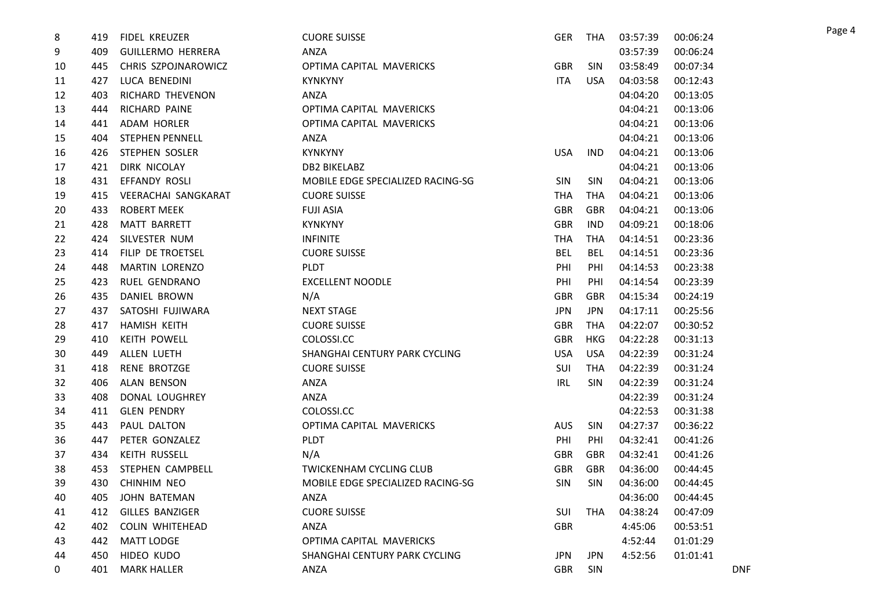| 8  | 419 | FIDEL KREUZER            | <b>CUORE SUISSE</b>               | <b>GER</b> | THA        | 03:57:39 | 00:06:24 |            |
|----|-----|--------------------------|-----------------------------------|------------|------------|----------|----------|------------|
| 9  | 409 | <b>GUILLERMO HERRERA</b> | ANZA                              |            |            | 03:57:39 | 00:06:24 |            |
| 10 | 445 | CHRIS SZPOJNAROWICZ      | OPTIMA CAPITAL MAVERICKS          | <b>GBR</b> | <b>SIN</b> | 03:58:49 | 00:07:34 |            |
| 11 | 427 | LUCA BENEDINI            | <b>KYNKYNY</b>                    | <b>ITA</b> | <b>USA</b> | 04:03:58 | 00:12:43 |            |
| 12 | 403 | RICHARD THEVENON         | ANZA                              |            |            | 04:04:20 | 00:13:05 |            |
| 13 | 444 | RICHARD PAINE            | OPTIMA CAPITAL MAVERICKS          |            |            | 04:04:21 | 00:13:06 |            |
| 14 | 441 | ADAM HORLER              | OPTIMA CAPITAL MAVERICKS          |            |            | 04:04:21 | 00:13:06 |            |
| 15 | 404 | <b>STEPHEN PENNELL</b>   | ANZA                              |            |            | 04:04:21 | 00:13:06 |            |
| 16 | 426 | STEPHEN SOSLER           | <b>KYNKYNY</b>                    | <b>USA</b> | <b>IND</b> | 04:04:21 | 00:13:06 |            |
| 17 | 421 | DIRK NICOLAY             | DB2 BIKELABZ                      |            |            | 04:04:21 | 00:13:06 |            |
| 18 | 431 | EFFANDY ROSLI            | MOBILE EDGE SPECIALIZED RACING-SG | <b>SIN</b> | <b>SIN</b> | 04:04:21 | 00:13:06 |            |
| 19 | 415 | VEERACHAI SANGKARAT      | <b>CUORE SUISSE</b>               | <b>THA</b> | THA        | 04:04:21 | 00:13:06 |            |
| 20 | 433 | <b>ROBERT MEEK</b>       | <b>FUJI ASIA</b>                  | <b>GBR</b> | <b>GBR</b> | 04:04:21 | 00:13:06 |            |
| 21 | 428 | <b>MATT BARRETT</b>      | <b>KYNKYNY</b>                    | <b>GBR</b> | <b>IND</b> | 04:09:21 | 00:18:06 |            |
| 22 | 424 | SILVESTER NUM            | <b>INFINITE</b>                   | <b>THA</b> | THA        | 04:14:51 | 00:23:36 |            |
| 23 | 414 | FILIP DE TROETSEL        | <b>CUORE SUISSE</b>               | <b>BEL</b> | <b>BEL</b> | 04:14:51 | 00:23:36 |            |
| 24 | 448 | MARTIN LORENZO           | <b>PLDT</b>                       | PHI        | PHI        | 04:14:53 | 00:23:38 |            |
| 25 | 423 | RUEL GENDRANO            | <b>EXCELLENT NOODLE</b>           | PHI        | PHI        | 04:14:54 | 00:23:39 |            |
| 26 | 435 | DANIEL BROWN             | N/A                               | <b>GBR</b> | <b>GBR</b> | 04:15:34 | 00:24:19 |            |
| 27 | 437 | SATOSHI FUJIWARA         | <b>NEXT STAGE</b>                 | <b>JPN</b> | <b>JPN</b> | 04:17:11 | 00:25:56 |            |
| 28 | 417 | <b>HAMISH KEITH</b>      | <b>CUORE SUISSE</b>               | <b>GBR</b> | THA        | 04:22:07 | 00:30:52 |            |
| 29 | 410 | <b>KEITH POWELL</b>      | COLOSSI.CC                        | <b>GBR</b> | <b>HKG</b> | 04:22:28 | 00:31:13 |            |
| 30 | 449 | ALLEN LUETH              | SHANGHAI CENTURY PARK CYCLING     | <b>USA</b> | <b>USA</b> | 04:22:39 | 00:31:24 |            |
| 31 | 418 | <b>RENE BROTZGE</b>      | <b>CUORE SUISSE</b>               | <b>SUI</b> | <b>THA</b> | 04:22:39 | 00:31:24 |            |
| 32 | 406 | <b>ALAN BENSON</b>       | ANZA                              | <b>IRL</b> | <b>SIN</b> | 04:22:39 | 00:31:24 |            |
| 33 | 408 | DONAL LOUGHREY           | ANZA                              |            |            | 04:22:39 | 00:31:24 |            |
| 34 | 411 | <b>GLEN PENDRY</b>       | COLOSSI.CC                        |            |            | 04:22:53 | 00:31:38 |            |
| 35 | 443 | PAUL DALTON              | OPTIMA CAPITAL MAVERICKS          | <b>AUS</b> | <b>SIN</b> | 04:27:37 | 00:36:22 |            |
| 36 | 447 | PETER GONZALEZ           | <b>PLDT</b>                       | PHI        | PHI        | 04:32:41 | 00:41:26 |            |
| 37 | 434 | KEITH RUSSELL            | N/A                               | <b>GBR</b> | <b>GBR</b> | 04:32:41 | 00:41:26 |            |
| 38 | 453 | STEPHEN CAMPBELL         | <b>TWICKENHAM CYCLING CLUB</b>    | <b>GBR</b> | GBR        | 04:36:00 | 00:44:45 |            |
| 39 | 430 | CHINHIM NEO              | MOBILE EDGE SPECIALIZED RACING-SG | <b>SIN</b> | <b>SIN</b> | 04:36:00 | 00:44:45 |            |
| 40 | 405 | JOHN BATEMAN             | ANZA                              |            |            | 04:36:00 | 00:44:45 |            |
| 41 | 412 | GILLES BANZIGER          | <b>CUORE SUISSE</b>               | <b>SUI</b> | <b>THA</b> | 04:38:24 | 00:47:09 |            |
| 42 | 402 | <b>COLIN WHITEHEAD</b>   | ANZA                              | <b>GBR</b> |            | 4:45:06  | 00:53:51 |            |
| 43 | 442 | <b>MATT LODGE</b>        | OPTIMA CAPITAL MAVERICKS          |            |            | 4:52:44  | 01:01:29 |            |
| 44 | 450 | HIDEO KUDO               | SHANGHAI CENTURY PARK CYCLING     | <b>JPN</b> | <b>JPN</b> | 4:52:56  | 01:01:41 |            |
| 0  | 401 | <b>MARK HALLER</b>       | ANZA                              | <b>GBR</b> | SIN        |          |          | <b>DNF</b> |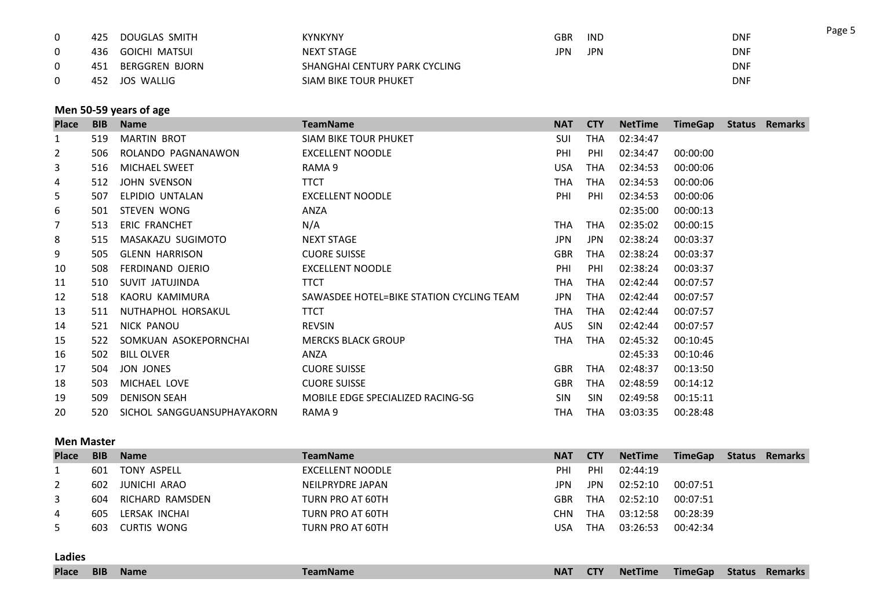| 425 | DOUGLAS SMITH  | <b>KYNKYNY</b>                | <b>GBR</b> | <b>IND</b> | <b>DNF</b> |
|-----|----------------|-------------------------------|------------|------------|------------|
| 436 | GOICHI MATSUI  | <b>NEXT STAGE</b>             | JPN        | <b>JPN</b> | <b>DNF</b> |
| 451 | BERGGREN BJORN | SHANGHAI CENTURY PARK CYCLING |            |            | <b>DNF</b> |
| 452 | JOS WALLIG     | SIAM BIKE TOUR PHUKET         |            |            | <b>DNF</b> |

### **Men 50-59 years of age**

| <b>Place</b>   | <b>BIB</b> | <b>Name</b>                | <b>TeamName</b>                          | <b>NAT</b> | <b>CTY</b> | <b>NetTime</b> | <b>TimeGap</b> | <b>Status</b> | Remarks |
|----------------|------------|----------------------------|------------------------------------------|------------|------------|----------------|----------------|---------------|---------|
| 1              | 519        | <b>MARTIN BROT</b>         | <b>SIAM BIKE TOUR PHUKET</b>             | SUI        | THA        | 02:34:47       |                |               |         |
| $\overline{2}$ | 506        | ROLANDO PAGNANAWON         | <b>EXCELLENT NOODLE</b>                  | PHI        | PHI        | 02:34:47       | 00:00:00       |               |         |
| 3              | 516        | MICHAEL SWEET              | RAMA 9                                   | <b>USA</b> | <b>THA</b> | 02:34:53       | 00:00:06       |               |         |
| 4              | 512        | JOHN SVENSON               | <b>TTCT</b>                              | THA        | THA        | 02:34:53       | 00:00:06       |               |         |
| 5              | 507        | ELPIDIO UNTALAN            | <b>EXCELLENT NOODLE</b>                  | PHI        | PHI        | 02:34:53       | 00:00:06       |               |         |
| 6              | 501        | STEVEN WONG                | ANZA                                     |            |            | 02:35:00       | 00:00:13       |               |         |
| 7              | 513        | ERIC FRANCHET              | N/A                                      | THA        | THA        | 02:35:02       | 00:00:15       |               |         |
| 8              | 515        | MASAKAZU SUGIMOTO          | <b>NEXT STAGE</b>                        | <b>JPN</b> | <b>JPN</b> | 02:38:24       | 00:03:37       |               |         |
| 9              | 505        | <b>GLENN HARRISON</b>      | <b>CUORE SUISSE</b>                      | <b>GBR</b> | THA        | 02:38:24       | 00:03:37       |               |         |
| 10             | 508        | FERDINAND OJERIO           | <b>EXCELLENT NOODLE</b>                  | PHI        | PHI        | 02:38:24       | 00:03:37       |               |         |
| 11             | 510        | SUVIT JATUJINDA            | <b>TTCT</b>                              | THA        | THA        | 02:42:44       | 00:07:57       |               |         |
| 12             | 518        | KAORU KAMIMURA             | SAWASDEE HOTEL=BIKE STATION CYCLING TEAM | <b>JPN</b> | THA        | 02:42:44       | 00:07:57       |               |         |
| 13             | 511        | NUTHAPHOL HORSAKUL         | <b>TTCT</b>                              | THA        | <b>THA</b> | 02:42:44       | 00:07:57       |               |         |
| 14             | 521        | NICK PANOU                 | <b>REVSIN</b>                            | AUS        | <b>SIN</b> | 02:42:44       | 00:07:57       |               |         |
| 15             | 522        | SOMKUAN ASOKEPORNCHAI      | <b>MERCKS BLACK GROUP</b>                | THA        | THA        | 02:45:32       | 00:10:45       |               |         |
| 16             | 502        | <b>BILL OLVER</b>          | ANZA                                     |            |            | 02:45:33       | 00:10:46       |               |         |
| 17             | 504        | JON JONES                  | <b>CUORE SUISSE</b>                      | <b>GBR</b> | <b>THA</b> | 02:48:37       | 00:13:50       |               |         |
| 18             | 503        | MICHAEL LOVE               | <b>CUORE SUISSE</b>                      | <b>GBR</b> | THA        | 02:48:59       | 00:14:12       |               |         |
| 19             | 509        | <b>DENISON SEAH</b>        | MOBILE EDGE SPECIALIZED RACING-SG        | <b>SIN</b> | <b>SIN</b> | 02:49:58       | 00:15:11       |               |         |
| 20             | 520        | SICHOL SANGGUANSUPHAYAKORN | RAMA 9                                   | THA        | THA        | 03:03:35       | 00:28:48       |               |         |

#### **Men Master**

| <b>Place</b> | <b>BIB</b> | <b>Name</b>     | <b>TeamName</b>  | <b>NAT</b> | <b>CTY</b> | <b>NetTime</b> | <b>TimeGap</b> | Status | Remarks |
|--------------|------------|-----------------|------------------|------------|------------|----------------|----------------|--------|---------|
|              | 601        | TONY ASPELL     | EXCELLENT NOODLE | PHI        | PHI        | 02:44:19       |                |        |         |
|              | 602        | JUNICHI ARAO    | NEILPRYDRE JAPAN | JPN        | <b>JPN</b> | 02:52:10       | 00:07:51       |        |         |
| 3            | 604        | RICHARD RAMSDEN | TURN PRO AT 60TH | GBR        | THA        | 02:52:10       | 00:07:51       |        |         |
| 4            | 605        | LERSAK INCHAI   | TURN PRO AT 60TH | CHN        | THA        | 03:12:58       | 00:28:39       |        |         |
| 5            | 603        | CURTIS WONG     | TURN PRO AT 60TH | USA        | THA        | 03:26:53       | 00:42:34       |        |         |

**Ladies**

Page 5